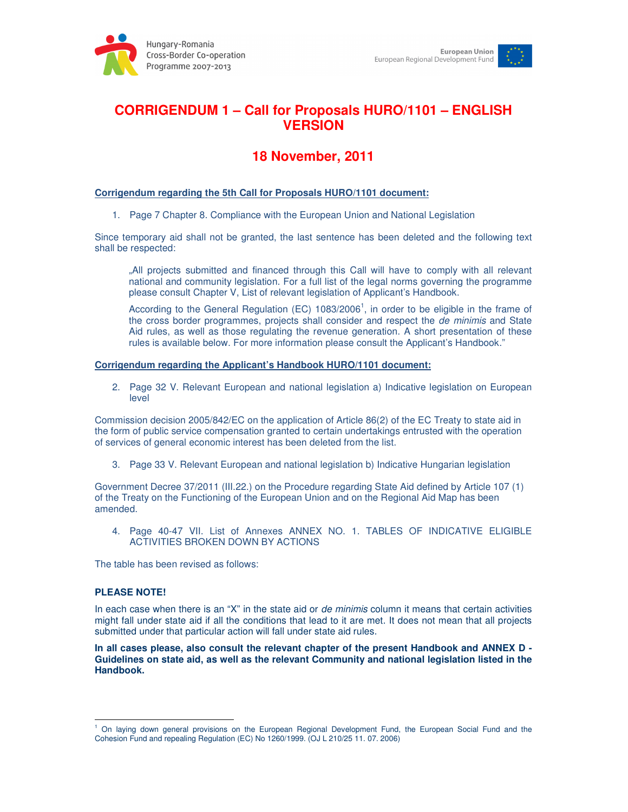



# **CORRIGENDUM 1 – Call for Proposals HURO/1101 – ENGLISH VERSION**

## **18 November, 2011**

### **Corrigendum regarding the 5th Call for Proposals HURO/1101 document:**

1. Page 7 Chapter 8. Compliance with the European Union and National Legislation

Since temporary aid shall not be granted, the last sentence has been deleted and the following text shall be respected:

"All projects submitted and financed through this Call will have to comply with all relevant national and community legislation. For a full list of the legal norms governing the programme please consult Chapter V, List of relevant legislation of Applicant's Handbook.

According to the General Regulation (EC)  $1083/2006<sup>1</sup>$ , in order to be eligible in the frame of the cross border programmes, projects shall consider and respect the de minimis and State Aid rules, as well as those regulating the revenue generation. A short presentation of these rules is available below. For more information please consult the Applicant's Handbook."

#### **Corrigendum regarding the Applicant's Handbook HURO/1101 document:**

2. Page 32 V. Relevant European and national legislation a) Indicative legislation on European level

Commission decision 2005/842/EC on the application of Article 86(2) of the EC Treaty to state aid in the form of public service compensation granted to certain undertakings entrusted with the operation of services of general economic interest has been deleted from the list.

3. Page 33 V. Relevant European and national legislation b) Indicative Hungarian legislation

Government Decree 37/2011 (III.22.) on the Procedure regarding State Aid defined by Article 107 (1) of the Treaty on the Functioning of the European Union and on the Regional Aid Map has been amended.

4. Page 40-47 VII. List of Annexes ANNEX NO. 1. TABLES OF INDICATIVE ELIGIBLE ACTIVITIES BROKEN DOWN BY ACTIONS

The table has been revised as follows:

#### **PLEASE NOTE!**

 $\overline{a}$ 

In each case when there is an "X" in the state aid or de minimis column it means that certain activities might fall under state aid if all the conditions that lead to it are met. It does not mean that all projects submitted under that particular action will fall under state aid rules.

**In all cases please, also consult the relevant chapter of the present Handbook and ANNEX D - Guidelines on state aid, as well as the relevant Community and national legislation listed in the Handbook.** 

<sup>&</sup>lt;sup>1</sup> On laying down general provisions on the European Regional Development Fund, the European Social Fund and the Cohesion Fund and repealing Regulation (EC) No 1260/1999. (OJ L 210/25 11. 07. 2006)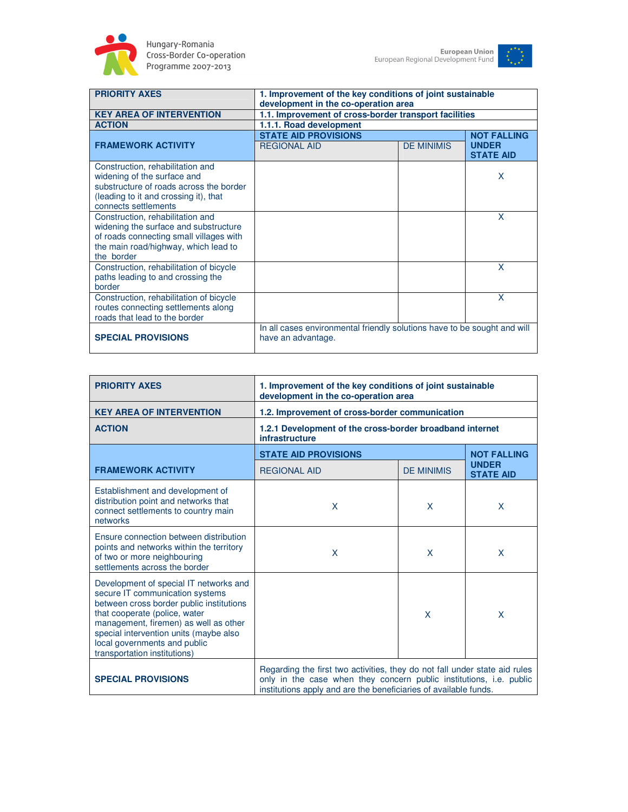



| <b>PRIORITY AXES</b>                                                                                                                                                        | 1. Improvement of the key conditions of joint sustainable<br>development in the co-operation area |                   |                                                        |
|-----------------------------------------------------------------------------------------------------------------------------------------------------------------------------|---------------------------------------------------------------------------------------------------|-------------------|--------------------------------------------------------|
| <b>KEY AREA OF INTERVENTION</b>                                                                                                                                             | 1.1. Improvement of cross-border transport facilities                                             |                   |                                                        |
| <b>ACTION</b>                                                                                                                                                               | 1.1.1. Road development                                                                           |                   |                                                        |
| <b>FRAMEWORK ACTIVITY</b>                                                                                                                                                   | <b>STATE AID PROVISIONS</b><br><b>REGIONAL AID</b>                                                | <b>DE MINIMIS</b> | <b>NOT FALLING</b><br><b>UNDER</b><br><b>STATE AID</b> |
| Construction, rehabilitation and<br>widening of the surface and<br>substructure of roads across the border<br>(leading to it and crossing it), that<br>connects settlements |                                                                                                   |                   | X                                                      |
| Construction, rehabilitation and<br>widening the surface and substructure<br>of roads connecting small villages with<br>the main road/highway, which lead to<br>the border  |                                                                                                   |                   | X                                                      |
| Construction, rehabilitation of bicycle<br>paths leading to and crossing the<br>border                                                                                      |                                                                                                   |                   | X                                                      |
| Construction, rehabilitation of bicycle<br>routes connecting settlements along<br>roads that lead to the border                                                             |                                                                                                   |                   | $\mathsf{x}$                                           |
| <b>SPECIAL PROVISIONS</b>                                                                                                                                                   | In all cases environmental friendly solutions have to be sought and will<br>have an advantage.    |                   |                                                        |

| <b>PRIORITY AXES</b>                                                                                                                                                                                                                                                                                      | 1. Improvement of the key conditions of joint sustainable<br>development in the co-operation area                                                                                                                     |                   |                                  |
|-----------------------------------------------------------------------------------------------------------------------------------------------------------------------------------------------------------------------------------------------------------------------------------------------------------|-----------------------------------------------------------------------------------------------------------------------------------------------------------------------------------------------------------------------|-------------------|----------------------------------|
| <b>KEY AREA OF INTERVENTION</b>                                                                                                                                                                                                                                                                           | 1.2. Improvement of cross-border communication                                                                                                                                                                        |                   |                                  |
| <b>ACTION</b>                                                                                                                                                                                                                                                                                             | 1.2.1 Development of the cross-border broadband internet<br>infrastructure                                                                                                                                            |                   |                                  |
|                                                                                                                                                                                                                                                                                                           | <b>STATE AID PROVISIONS</b>                                                                                                                                                                                           |                   | <b>NOT FALLING</b>               |
| <b>FRAMEWORK ACTIVITY</b>                                                                                                                                                                                                                                                                                 | <b>REGIONAL AID</b>                                                                                                                                                                                                   | <b>DE MINIMIS</b> | <b>UNDER</b><br><b>STATE AID</b> |
| Establishment and development of<br>distribution point and networks that<br>connect settlements to country main<br>networks                                                                                                                                                                               | X                                                                                                                                                                                                                     | X                 | X                                |
| Ensure connection between distribution<br>points and networks within the territory<br>of two or more neighbouring<br>settlements across the border                                                                                                                                                        | X                                                                                                                                                                                                                     | X                 | X                                |
| Development of special IT networks and<br>secure IT communication systems<br>between cross border public institutions<br>that cooperate (police, water<br>management, firemen) as well as other<br>special intervention units (maybe also<br>local governments and public<br>transportation institutions) |                                                                                                                                                                                                                       | X                 | $\mathsf{x}$                     |
| <b>SPECIAL PROVISIONS</b>                                                                                                                                                                                                                                                                                 | Regarding the first two activities, they do not fall under state aid rules<br>only in the case when they concern public institutions, i.e. public<br>institutions apply and are the beneficiaries of available funds. |                   |                                  |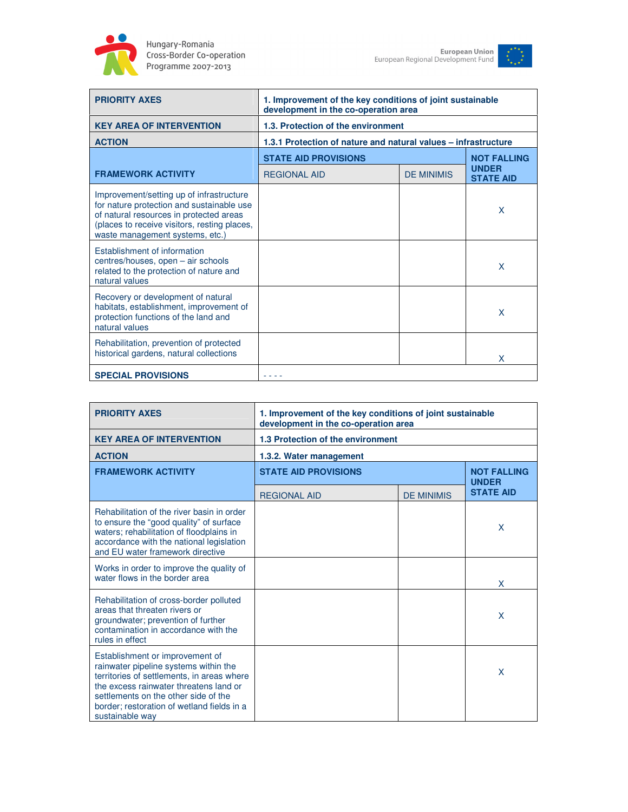



| <b>PRIORITY AXES</b>                                                                                                                                                                                                | 1. Improvement of the key conditions of joint sustainable<br>development in the co-operation area |                   |                                  |
|---------------------------------------------------------------------------------------------------------------------------------------------------------------------------------------------------------------------|---------------------------------------------------------------------------------------------------|-------------------|----------------------------------|
| <b>KEY AREA OF INTERVENTION</b>                                                                                                                                                                                     | 1.3. Protection of the environment                                                                |                   |                                  |
| <b>ACTION</b>                                                                                                                                                                                                       | 1.3.1 Protection of nature and natural values - infrastructure                                    |                   |                                  |
|                                                                                                                                                                                                                     | <b>STATE AID PROVISIONS</b>                                                                       |                   | <b>NOT FALLING</b>               |
| <b>FRAMEWORK ACTIVITY</b>                                                                                                                                                                                           | <b>REGIONAL AID</b>                                                                               | <b>DE MINIMIS</b> | <b>UNDER</b><br><b>STATE AID</b> |
| Improvement/setting up of infrastructure<br>for nature protection and sustainable use<br>of natural resources in protected areas<br>(places to receive visitors, resting places,<br>waste management systems, etc.) |                                                                                                   |                   | X                                |
| Establishment of information<br>centres/houses, open - air schools<br>related to the protection of nature and<br>natural values                                                                                     |                                                                                                   |                   | $\mathsf{x}$                     |
| Recovery or development of natural<br>habitats, establishment, improvement of<br>protection functions of the land and<br>natural values                                                                             |                                                                                                   |                   | X                                |
| Rehabilitation, prevention of protected<br>historical gardens, natural collections                                                                                                                                  |                                                                                                   |                   | X                                |
| <b>SPECIAL PROVISIONS</b>                                                                                                                                                                                           |                                                                                                   |                   |                                  |

| <b>PRIORITY AXES</b>                                                                                                                                                                                                                                                      | 1. Improvement of the key conditions of joint sustainable<br>development in the co-operation area |                   |                                    |
|---------------------------------------------------------------------------------------------------------------------------------------------------------------------------------------------------------------------------------------------------------------------------|---------------------------------------------------------------------------------------------------|-------------------|------------------------------------|
| <b>KEY AREA OF INTERVENTION</b>                                                                                                                                                                                                                                           | 1.3 Protection of the environment                                                                 |                   |                                    |
| <b>ACTION</b>                                                                                                                                                                                                                                                             | 1.3.2. Water management                                                                           |                   |                                    |
| <b>FRAMEWORK ACTIVITY</b>                                                                                                                                                                                                                                                 | <b>STATE AID PROVISIONS</b>                                                                       |                   | <b>NOT FALLING</b><br><b>UNDER</b> |
|                                                                                                                                                                                                                                                                           | <b>REGIONAL AID</b>                                                                               | <b>DE MINIMIS</b> | <b>STATE AID</b>                   |
| Rehabilitation of the river basin in order<br>to ensure the "good quality" of surface<br>waters; rehabilitation of floodplains in<br>accordance with the national legislation<br>and EU water framework directive                                                         |                                                                                                   |                   | X                                  |
| Works in order to improve the quality of<br>water flows in the border area                                                                                                                                                                                                |                                                                                                   |                   | X                                  |
| Rehabilitation of cross-border polluted<br>areas that threaten rivers or<br>groundwater; prevention of further<br>contamination in accordance with the<br>rules in effect                                                                                                 |                                                                                                   |                   | X                                  |
| Establishment or improvement of<br>rainwater pipeline systems within the<br>territories of settlements, in areas where<br>the excess rainwater threatens land or<br>settlements on the other side of the<br>border; restoration of wetland fields in a<br>sustainable way |                                                                                                   |                   | X                                  |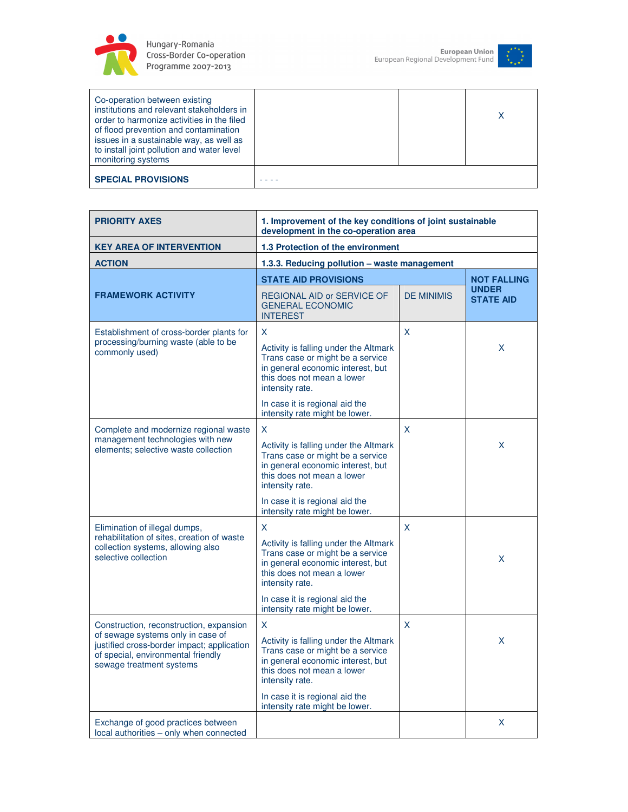



| Co-operation between existing<br>institutions and relevant stakeholders in<br>order to harmonize activities in the filed<br>of flood prevention and contamination<br>issues in a sustainable way, as well as<br>to install joint pollution and water level<br>monitoring systems |  |  |
|----------------------------------------------------------------------------------------------------------------------------------------------------------------------------------------------------------------------------------------------------------------------------------|--|--|
| <b>SPECIAL PROVISIONS</b>                                                                                                                                                                                                                                                        |  |  |

| <b>PRIORITY AXES</b>                                                                                                                                                                         | 1. Improvement of the key conditions of joint sustainable<br>development in the co-operation area                                                                     |                   |                                  |
|----------------------------------------------------------------------------------------------------------------------------------------------------------------------------------------------|-----------------------------------------------------------------------------------------------------------------------------------------------------------------------|-------------------|----------------------------------|
| <b>KEY AREA OF INTERVENTION</b>                                                                                                                                                              | 1.3 Protection of the environment                                                                                                                                     |                   |                                  |
| <b>ACTION</b>                                                                                                                                                                                | 1.3.3. Reducing pollution - waste management                                                                                                                          |                   |                                  |
|                                                                                                                                                                                              | <b>STATE AID PROVISIONS</b>                                                                                                                                           |                   | <b>NOT FALLING</b>               |
| <b>FRAMEWORK ACTIVITY</b>                                                                                                                                                                    | <b>REGIONAL AID or SERVICE OF</b><br><b>GENERAL ECONOMIC</b><br><b>INTEREST</b>                                                                                       | <b>DE MINIMIS</b> | <b>UNDER</b><br><b>STATE AID</b> |
| Establishment of cross-border plants for                                                                                                                                                     | X.                                                                                                                                                                    | X                 |                                  |
| processing/burning waste (able to be<br>commonly used)                                                                                                                                       | Activity is falling under the Altmark<br>Trans case or might be a service<br>in general economic interest, but<br>this does not mean a lower<br>intensity rate.       |                   | X                                |
|                                                                                                                                                                                              | In case it is regional aid the<br>intensity rate might be lower.                                                                                                      |                   |                                  |
| Complete and modernize regional waste                                                                                                                                                        | X.                                                                                                                                                                    | X                 |                                  |
| management technologies with new<br>elements; selective waste collection                                                                                                                     | Activity is falling under the Altmark<br>Trans case or might be a service<br>in general economic interest, but<br>this does not mean a lower<br>intensity rate.       |                   | X.                               |
|                                                                                                                                                                                              | In case it is regional aid the<br>intensity rate might be lower.                                                                                                      |                   |                                  |
| Elimination of illegal dumps,<br>rehabilitation of sites, creation of waste<br>collection systems, allowing also<br>selective collection                                                     | X.<br>Activity is falling under the Altmark<br>Trans case or might be a service<br>in general economic interest, but<br>this does not mean a lower<br>intensity rate. | X                 | X.                               |
|                                                                                                                                                                                              | In case it is regional aid the<br>intensity rate might be lower.                                                                                                      |                   |                                  |
| Construction, reconstruction, expansion<br>of sewage systems only in case of<br>justified cross-border impact; application<br>of special, environmental friendly<br>sewage treatment systems | X<br>Activity is falling under the Altmark<br>Trans case or might be a service<br>in general economic interest, but<br>this does not mean a lower<br>intensity rate.  | X                 | X.                               |
|                                                                                                                                                                                              | In case it is regional aid the<br>intensity rate might be lower.                                                                                                      |                   |                                  |
| Exchange of good practices between<br>local authorities - only when connected                                                                                                                |                                                                                                                                                                       |                   | X                                |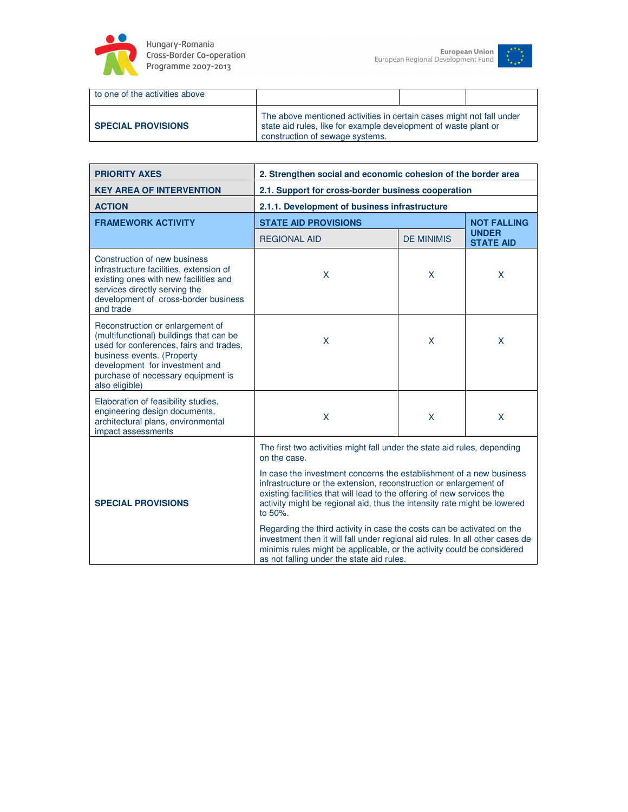



| to one of the activities above |                                                                                                                                                                            |  |  |
|--------------------------------|----------------------------------------------------------------------------------------------------------------------------------------------------------------------------|--|--|
| <b>SPECIAL PROVISIONS</b>      | The above mentioned activities in certain cases might not fall under<br>state aid rules, like for example development of waste plant or<br>construction of sewage systems. |  |  |

| <b>PRIORITY AXES</b>                                                                                                                                                                                                                           | 2. Strengthen social and economic cohesion of the border area                                                                                                                                                                                                                                                                                                                                                                                                                                                                                                                              |                   |                                  |
|------------------------------------------------------------------------------------------------------------------------------------------------------------------------------------------------------------------------------------------------|--------------------------------------------------------------------------------------------------------------------------------------------------------------------------------------------------------------------------------------------------------------------------------------------------------------------------------------------------------------------------------------------------------------------------------------------------------------------------------------------------------------------------------------------------------------------------------------------|-------------------|----------------------------------|
| <b>KEY AREA OF INTERVENTION</b>                                                                                                                                                                                                                | 2.1. Support for cross-border business cooperation                                                                                                                                                                                                                                                                                                                                                                                                                                                                                                                                         |                   |                                  |
| <b>ACTION</b>                                                                                                                                                                                                                                  | 2.1.1. Development of business infrastructure                                                                                                                                                                                                                                                                                                                                                                                                                                                                                                                                              |                   |                                  |
| <b>FRAMEWORK ACTIVITY</b>                                                                                                                                                                                                                      | <b>STATE AID PROVISIONS</b>                                                                                                                                                                                                                                                                                                                                                                                                                                                                                                                                                                |                   | <b>NOT FALLING</b>               |
|                                                                                                                                                                                                                                                | <b>REGIONAL AID</b>                                                                                                                                                                                                                                                                                                                                                                                                                                                                                                                                                                        | <b>DE MINIMIS</b> | <b>UNDER</b><br><b>STATE AID</b> |
| Construction of new business<br>infrastructure facilities, extension of<br>existing ones with new facilities and<br>services directly serving the<br>development of cross-border business<br>and trade                                         | $\sf X$                                                                                                                                                                                                                                                                                                                                                                                                                                                                                                                                                                                    | X                 | X                                |
| Reconstruction or enlargement of<br>(multifunctional) buildings that can be<br>used for conferences, fairs and trades,<br>business events. (Property<br>development for investment and<br>purchase of necessary equipment is<br>also eligible) | $\mathsf{X}$                                                                                                                                                                                                                                                                                                                                                                                                                                                                                                                                                                               | X                 | $\mathsf{X}$                     |
| Elaboration of feasibility studies,<br>engineering design documents,<br>architectural plans, environmental<br>impact assessments                                                                                                               | $\mathsf{X}$                                                                                                                                                                                                                                                                                                                                                                                                                                                                                                                                                                               | X                 | X                                |
|                                                                                                                                                                                                                                                | The first two activities might fall under the state aid rules, depending<br>on the case.                                                                                                                                                                                                                                                                                                                                                                                                                                                                                                   |                   |                                  |
| <b>SPECIAL PROVISIONS</b>                                                                                                                                                                                                                      | In case the investment concerns the establishment of a new business<br>infrastructure or the extension, reconstruction or enlargement of<br>existing facilities that will lead to the offering of new services the<br>activity might be regional aid, thus the intensity rate might be lowered<br>to 50%.<br>Regarding the third activity in case the costs can be activated on the<br>investment then it will fall under regional aid rules. In all other cases de<br>minimis rules might be applicable, or the activity could be considered<br>as not falling under the state aid rules. |                   |                                  |
|                                                                                                                                                                                                                                                |                                                                                                                                                                                                                                                                                                                                                                                                                                                                                                                                                                                            |                   |                                  |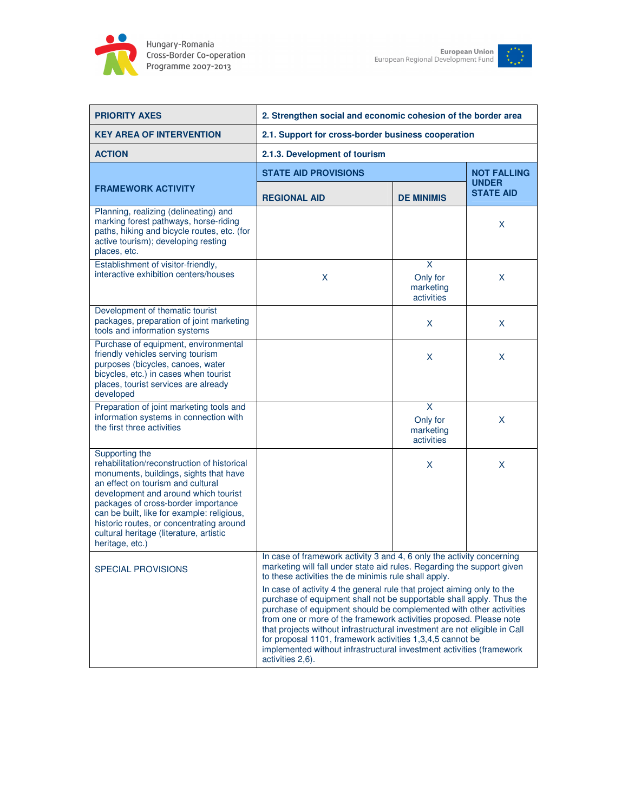



| <b>PRIORITY AXES</b>                                                                                                                                                                                                                                                                                                                                                                | 2. Strengthen social and economic cohesion of the border area                                                                                                                                                                                                                                                                                                                                                                                                                                                                                                                                                                                                                                                                               |                                          |                                    |
|-------------------------------------------------------------------------------------------------------------------------------------------------------------------------------------------------------------------------------------------------------------------------------------------------------------------------------------------------------------------------------------|---------------------------------------------------------------------------------------------------------------------------------------------------------------------------------------------------------------------------------------------------------------------------------------------------------------------------------------------------------------------------------------------------------------------------------------------------------------------------------------------------------------------------------------------------------------------------------------------------------------------------------------------------------------------------------------------------------------------------------------------|------------------------------------------|------------------------------------|
| <b>KEY AREA OF INTERVENTION</b>                                                                                                                                                                                                                                                                                                                                                     | 2.1. Support for cross-border business cooperation                                                                                                                                                                                                                                                                                                                                                                                                                                                                                                                                                                                                                                                                                          |                                          |                                    |
| <b>ACTION</b>                                                                                                                                                                                                                                                                                                                                                                       | 2.1.3. Development of tourism                                                                                                                                                                                                                                                                                                                                                                                                                                                                                                                                                                                                                                                                                                               |                                          |                                    |
|                                                                                                                                                                                                                                                                                                                                                                                     | <b>STATE AID PROVISIONS</b>                                                                                                                                                                                                                                                                                                                                                                                                                                                                                                                                                                                                                                                                                                                 |                                          | <b>NOT FALLING</b><br><b>UNDER</b> |
| <b>FRAMEWORK ACTIVITY</b>                                                                                                                                                                                                                                                                                                                                                           | <b>REGIONAL AID</b>                                                                                                                                                                                                                                                                                                                                                                                                                                                                                                                                                                                                                                                                                                                         | <b>DE MINIMIS</b>                        | <b>STATE AID</b>                   |
| Planning, realizing (delineating) and<br>marking forest pathways, horse-riding<br>paths, hiking and bicycle routes, etc. (for<br>active tourism); developing resting<br>places, etc.                                                                                                                                                                                                |                                                                                                                                                                                                                                                                                                                                                                                                                                                                                                                                                                                                                                                                                                                                             |                                          | X                                  |
| Establishment of visitor-friendly,<br>interactive exhibition centers/houses                                                                                                                                                                                                                                                                                                         | X                                                                                                                                                                                                                                                                                                                                                                                                                                                                                                                                                                                                                                                                                                                                           | X<br>Only for<br>marketing<br>activities | X                                  |
| Development of thematic tourist<br>packages, preparation of joint marketing<br>tools and information systems                                                                                                                                                                                                                                                                        |                                                                                                                                                                                                                                                                                                                                                                                                                                                                                                                                                                                                                                                                                                                                             | X                                        | X                                  |
| Purchase of equipment, environmental<br>friendly vehicles serving tourism<br>purposes (bicycles, canoes, water<br>bicycles, etc.) in cases when tourist<br>places, tourist services are already<br>developed                                                                                                                                                                        |                                                                                                                                                                                                                                                                                                                                                                                                                                                                                                                                                                                                                                                                                                                                             | X                                        | X                                  |
| Preparation of joint marketing tools and<br>information systems in connection with<br>the first three activities                                                                                                                                                                                                                                                                    |                                                                                                                                                                                                                                                                                                                                                                                                                                                                                                                                                                                                                                                                                                                                             | X<br>Only for<br>marketing<br>activities | X                                  |
| Supporting the<br>rehabilitation/reconstruction of historical<br>monuments, buildings, sights that have<br>an effect on tourism and cultural<br>development and around which tourist<br>packages of cross-border importance<br>can be built, like for example: religious,<br>historic routes, or concentrating around<br>cultural heritage (literature, artistic<br>heritage, etc.) |                                                                                                                                                                                                                                                                                                                                                                                                                                                                                                                                                                                                                                                                                                                                             | X                                        | X                                  |
| <b>SPECIAL PROVISIONS</b>                                                                                                                                                                                                                                                                                                                                                           | In case of framework activity 3 and 4, 6 only the activity concerning<br>marketing will fall under state aid rules. Regarding the support given<br>to these activities the de minimis rule shall apply.<br>In case of activity 4 the general rule that project aiming only to the<br>purchase of equipment shall not be supportable shall apply. Thus the<br>purchase of equipment should be complemented with other activities<br>from one or more of the framework activities proposed. Please note<br>that projects without infrastructural investment are not eligible in Call<br>for proposal 1101, framework activities 1,3,4,5 cannot be<br>implemented without infrastructural investment activities (framework<br>activities 2,6). |                                          |                                    |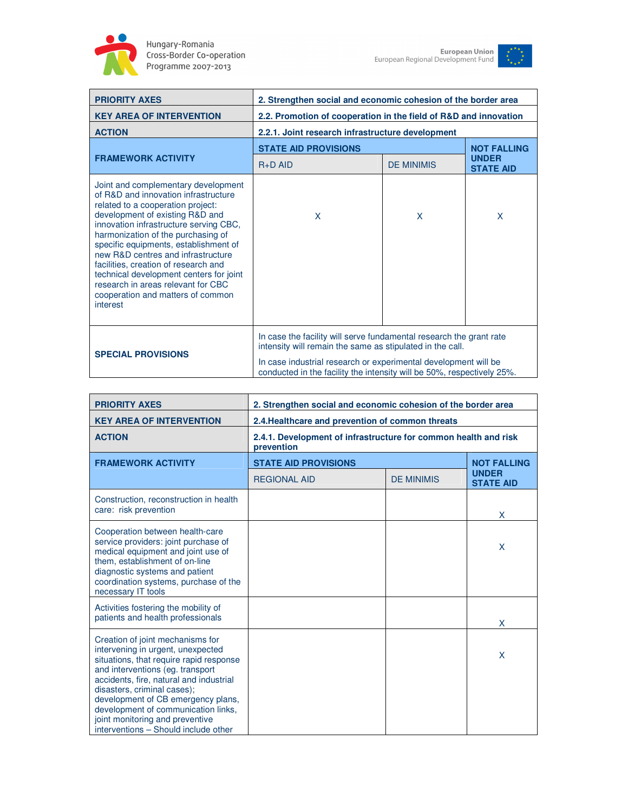

Hungary-Romania<br>Cross-Border Co-operation<br>Programme 2007-2013



| <b>PRIORITY AXES</b>                                                                                                                                                                                                                                                                                                                                                                                                                                                                         | 2. Strengthen social and economic cohesion of the border area                                                                                                                                                                                                               |                   |                                  |
|----------------------------------------------------------------------------------------------------------------------------------------------------------------------------------------------------------------------------------------------------------------------------------------------------------------------------------------------------------------------------------------------------------------------------------------------------------------------------------------------|-----------------------------------------------------------------------------------------------------------------------------------------------------------------------------------------------------------------------------------------------------------------------------|-------------------|----------------------------------|
| <b>KEY AREA OF INTERVENTION</b>                                                                                                                                                                                                                                                                                                                                                                                                                                                              | 2.2. Promotion of cooperation in the field of R&D and innovation                                                                                                                                                                                                            |                   |                                  |
| <b>ACTION</b>                                                                                                                                                                                                                                                                                                                                                                                                                                                                                | 2.2.1. Joint research infrastructure development                                                                                                                                                                                                                            |                   |                                  |
|                                                                                                                                                                                                                                                                                                                                                                                                                                                                                              | <b>STATE AID PROVISIONS</b>                                                                                                                                                                                                                                                 |                   | <b>NOT FALLING</b>               |
| <b>FRAMEWORK ACTIVITY</b>                                                                                                                                                                                                                                                                                                                                                                                                                                                                    | $R+D$ AID                                                                                                                                                                                                                                                                   | <b>DE MINIMIS</b> | <b>UNDER</b><br><b>STATE AID</b> |
| Joint and complementary development<br>of R&D and innovation infrastructure<br>related to a cooperation project:<br>development of existing R&D and<br>innovation infrastructure serving CBC,<br>harmonization of the purchasing of<br>specific equipments, establishment of<br>new R&D centres and infrastructure<br>facilities, creation of research and<br>technical development centers for joint<br>research in areas relevant for CBC<br>cooperation and matters of common<br>interest | X                                                                                                                                                                                                                                                                           | X                 | X                                |
| <b>SPECIAL PROVISIONS</b>                                                                                                                                                                                                                                                                                                                                                                                                                                                                    | In case the facility will serve fundamental research the grant rate<br>intensity will remain the same as stipulated in the call.<br>In case industrial research or experimental development will be<br>conducted in the facility the intensity will be 50% respectively 25% |                   |                                  |

| <b>PRIORITY AXES</b>                                                                                                                                                                                                                                                                                                                                                                   | 2. Strengthen social and economic cohesion of the border area                 |                   |                                  |
|----------------------------------------------------------------------------------------------------------------------------------------------------------------------------------------------------------------------------------------------------------------------------------------------------------------------------------------------------------------------------------------|-------------------------------------------------------------------------------|-------------------|----------------------------------|
| <b>KEY AREA OF INTERVENTION</b>                                                                                                                                                                                                                                                                                                                                                        | 2.4. Healthcare and prevention of common threats                              |                   |                                  |
| <b>ACTION</b>                                                                                                                                                                                                                                                                                                                                                                          | 2.4.1. Development of infrastructure for common health and risk<br>prevention |                   |                                  |
| <b>FRAMEWORK ACTIVITY</b>                                                                                                                                                                                                                                                                                                                                                              | <b>STATE AID PROVISIONS</b>                                                   |                   | <b>NOT FALLING</b>               |
|                                                                                                                                                                                                                                                                                                                                                                                        | <b>REGIONAL AID</b>                                                           | <b>DE MINIMIS</b> | <b>UNDER</b><br><b>STATE AID</b> |
| Construction, reconstruction in health<br>care: risk prevention                                                                                                                                                                                                                                                                                                                        |                                                                               |                   | X                                |
| Cooperation between health-care<br>service providers: joint purchase of<br>medical equipment and joint use of<br>them, establishment of on-line<br>diagnostic systems and patient<br>coordination systems, purchase of the<br>necessary IT tools                                                                                                                                       |                                                                               |                   | X                                |
| Activities fostering the mobility of<br>patients and health professionals                                                                                                                                                                                                                                                                                                              |                                                                               |                   | X                                |
| Creation of joint mechanisms for<br>intervening in urgent, unexpected<br>situations, that require rapid response<br>and interventions (eg. transport<br>accidents, fire, natural and industrial<br>disasters, criminal cases);<br>development of CB emergency plans,<br>development of communication links,<br>joint monitoring and preventive<br>interventions - Should include other |                                                                               |                   | X                                |